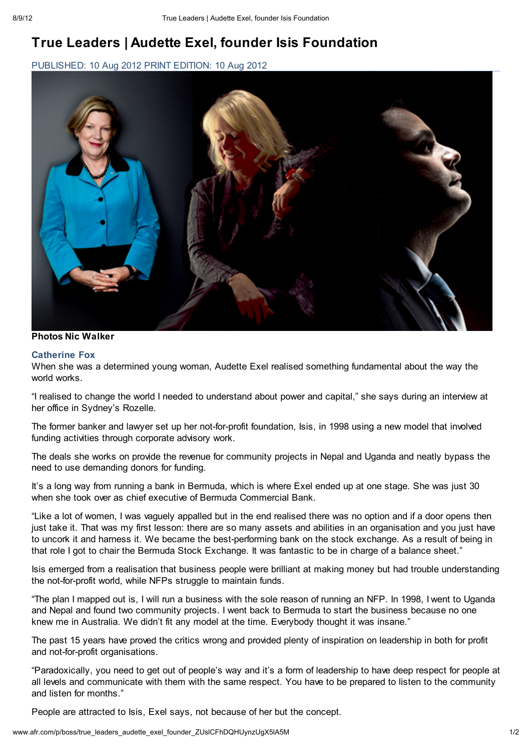# True Leaders | Audette Exel, founder Isis Foundation

PUBLISHED: 10 Aug 2012 PRINT EDITION: 10 Aug 2012



### Photos Nic Walker

### Catherine Fox

When she was a determined young woman, Audette Exel realised something fundamental about the way the world works.

"I realised to change the world I needed to understand about power and capital," she says during an interview at her office in Sydney's Rozelle.

The former banker and lawyer set up her not-for-profit foundation, Isis, in 1998 using a new model that involved funding activities through corporate advisory work.

The deals she works on provide the revenue for community projects in Nepal and Uganda and neatly bypass the need to use demanding donors for funding.

It's a long way from running a bank in Bermuda, which is where Exel ended up at one stage. She was just 30 when she took over as chief executive of Bermuda Commercial Bank.

"Like a lot of women, I was vaguely appalled but in the end realised there was no option and if a door opens then just take it. That was my first lesson: there are so many assets and abilities in an organisation and you just have to uncork it and harness it. We became the best-performing bank on the stock exchange. As a result of being in that role I got to chair the Bermuda Stock Exchange. It was fantastic to be in charge of a balance sheet."

Isis emerged from a realisation that business people were brilliant at making money but had trouble understanding the not-for-profit world, while NFPs struggle to maintain funds.

"The plan I mapped out is, I will run a business with the sole reason of running an NFP. In 1998, I went to Uganda and Nepal and found two community projects. I went back to Bermuda to start the business because no one knew me in Australia. We didn't fit any model at the time. Everybody thought it was insane."

The past 15 years have proved the critics wrong and provided plenty of inspiration on leadership in both for profit and not-for-profit organisations.

"Paradoxically, you need to get out of people's way and it's a form of leadership to have deep respect for people at all levels and communicate with them with the same respect. You have to be prepared to listen to the community and listen for months."

People are attracted to Isis, Exel says, not because of her but the concept.